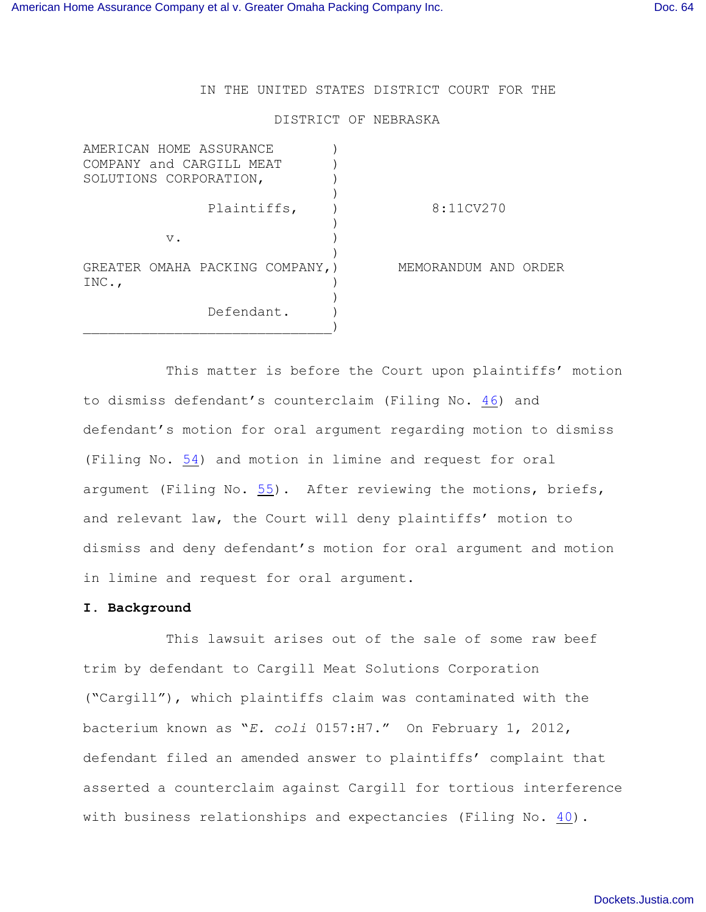IN THE UNITED STATES DISTRICT COURT FOR THE

## DISTRICT OF NEBRASKA

| AMERICAN HOME ASSURANCE<br>COMPANY and CARGILL MEAT<br>SOLUTIONS CORPORATION, |                      |
|-------------------------------------------------------------------------------|----------------------|
| Plaintiffs,                                                                   | 8:11CV270            |
| $V$ .                                                                         |                      |
| GREATER OMAHA PACKING COMPANY, )<br>INC.,                                     | MEMORANDUM AND ORDER |
| Defendant.                                                                    |                      |

This matter is before the Court upon plaintiffs' motion to dismiss defendant's counterclaim (Filing No. [46](http://ecf.ned.uscourts.gov/doc1/11302477534)) and defendant's motion for oral argument regarding motion to dismiss (Filing No. [54](http://ecf.ned.uscourts.gov/doc1/11302494933)) and motion in limine and request for oral argument (Filing No. [55](http://ecf.ned.uscourts.gov/doc1/11302494939)). After reviewing the motions, briefs, and relevant law, the Court will deny plaintiffs' motion to dismiss and deny defendant's motion for oral argument and motion in limine and request for oral argument.

## **I. Background**

This lawsuit arises out of the sale of some raw beef trim by defendant to Cargill Meat Solutions Corporation ("Cargill"), which plaintiffs claim was contaminated with the bacterium known as "*E. coli* 0157:H7." On February 1, 2012, defendant filed an amended answer to plaintiffs' complaint that asserted a counterclaim against Cargill for tortious interference with business relationships and expectancies (Filing No. [40](http://ecf.ned.uscourts.gov/doc1/11302452821)).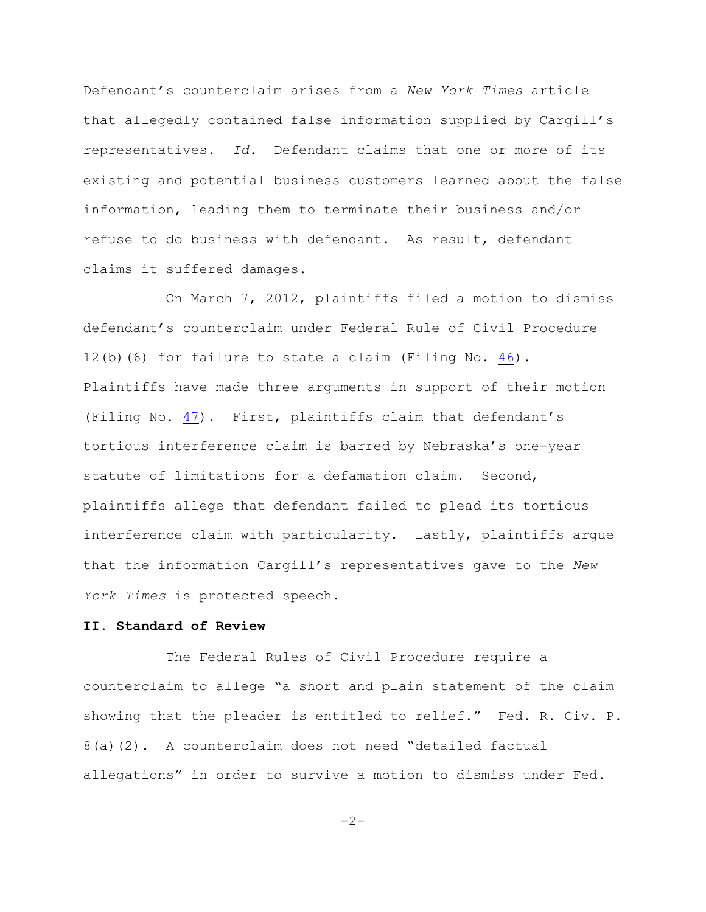Defendant's counterclaim arises from a *New York Times* article that allegedly contained false information supplied by Cargill's representatives. *Id.* Defendant claims that one or more of its existing and potential business customers learned about the false information, leading them to terminate their business and/or refuse to do business with defendant. As result, defendant claims it suffered damages.

On March 7, 2012, plaintiffs filed a motion to dismiss defendant's counterclaim under Federal Rule of Civil Procedure 12(b)(6) for failure to state a claim (Filing No. [46](http://ecf.ned.uscourts.gov/doc1/11302477534)). Plaintiffs have made three arguments in support of their motion (Filing No.  $47$ ). First, plaintiffs claim that defendant's tortious interference claim is barred by Nebraska's one-year statute of limitations for a defamation claim. Second, plaintiffs allege that defendant failed to plead its tortious interference claim with particularity. Lastly, plaintiffs argue that the information Cargill's representatives gave to the *New York Times* is protected speech.

## **II. Standard of Review**

The Federal Rules of Civil Procedure require a counterclaim to allege "a short and plain statement of the claim showing that the pleader is entitled to relief." Fed. R. Civ. P. 8(a)(2). A counterclaim does not need "detailed factual allegations" in order to survive a motion to dismiss under Fed.

 $-2-$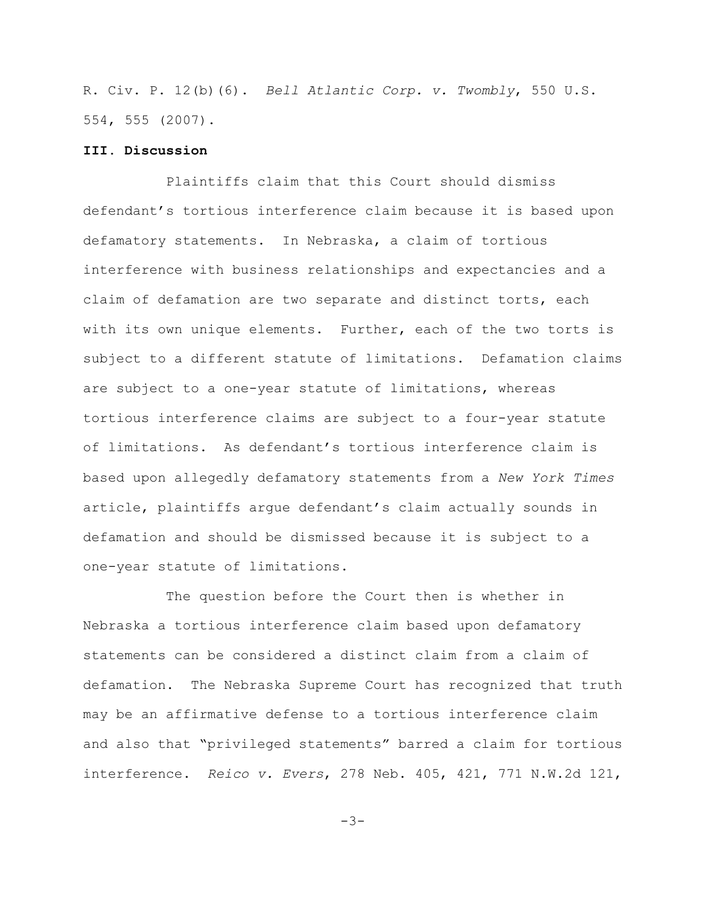R. Civ. P. 12(b)(6). *Bell Atlantic Corp. v. Twombly*, 550 U.S. 554, 555 (2007).

## **III. Discussion**

Plaintiffs claim that this Court should dismiss defendant's tortious interference claim because it is based upon defamatory statements. In Nebraska, a claim of tortious interference with business relationships and expectancies and a claim of defamation are two separate and distinct torts, each with its own unique elements. Further, each of the two torts is subject to a different statute of limitations. Defamation claims are subject to a one-year statute of limitations, whereas tortious interference claims are subject to a four-year statute of limitations. As defendant's tortious interference claim is based upon allegedly defamatory statements from a *New York Times* article, plaintiffs argue defendant's claim actually sounds in defamation and should be dismissed because it is subject to a one-year statute of limitations.

The question before the Court then is whether in Nebraska a tortious interference claim based upon defamatory statements can be considered a distinct claim from a claim of defamation. The Nebraska Supreme Court has recognized that truth may be an affirmative defense to a tortious interference claim and also that "privileged statements" barred a claim for tortious interference. *Reico v. Evers*, 278 Neb. 405, 421, 771 N.W.2d 121,

-3-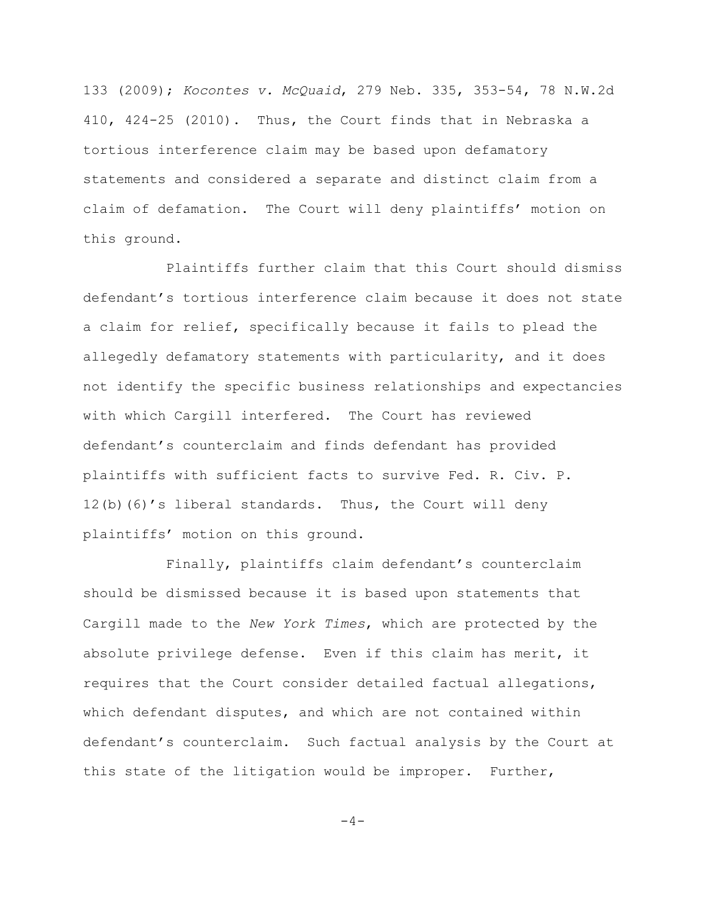133 (2009); *Kocontes v. McQuaid*, 279 Neb. 335, 353-54, 78 N.W.2d 410, 424-25 (2010). Thus, the Court finds that in Nebraska a tortious interference claim may be based upon defamatory statements and considered a separate and distinct claim from a claim of defamation. The Court will deny plaintiffs' motion on this ground.

Plaintiffs further claim that this Court should dismiss defendant's tortious interference claim because it does not state a claim for relief, specifically because it fails to plead the allegedly defamatory statements with particularity, and it does not identify the specific business relationships and expectancies with which Cargill interfered. The Court has reviewed defendant's counterclaim and finds defendant has provided plaintiffs with sufficient facts to survive Fed. R. Civ. P. 12(b)(6)'s liberal standards. Thus, the Court will deny plaintiffs' motion on this ground.

Finally, plaintiffs claim defendant's counterclaim should be dismissed because it is based upon statements that Cargill made to the *New York Times*, which are protected by the absolute privilege defense. Even if this claim has merit, it requires that the Court consider detailed factual allegations, which defendant disputes, and which are not contained within defendant's counterclaim. Such factual analysis by the Court at this state of the litigation would be improper. Further,

 $-4-$